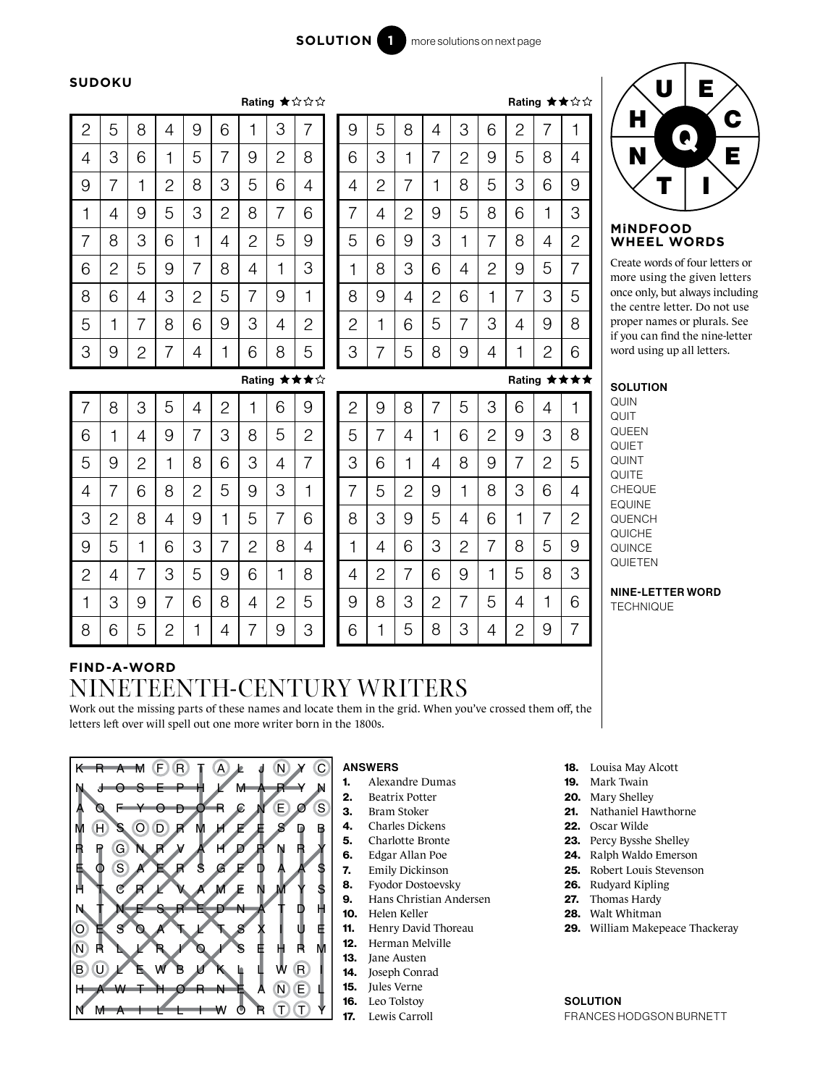$\lambda$ 

### **SUDOKU**

9

5

1

6

3

7

1

5

6

3

2

9

2

8

7

4

4

8

1

9

5

8

6

 $\overline{2}$ 

4

3

2

7

9

1

8

3

4

5

6

7

|                |                |                |                |                |                |                |                | nauny A www    |
|----------------|----------------|----------------|----------------|----------------|----------------|----------------|----------------|----------------|
| $\mathbf{c}$   | 5              | 8              | 4              | 9              | 6              | 1              | З              | 7              |
| 4              | 3              | 6              | 1              | 5              | 7              | 9              | $\overline{c}$ | 8              |
| 9              | 7              | 1              | $\overline{c}$ | 8              | 3              | 5              | 6              | 4              |
| 1              | 4              | 9              | 5              | 3              | $\overline{c}$ | 8              | $\overline{7}$ | 6              |
| $\overline{7}$ | 8              | 3              | 6              | 1              | 4              | $\overline{c}$ | 5              | 9              |
| 6              | $\overline{c}$ | 5              | 9              | 7              | 8              | 4              | 1              | 3              |
| 8              | 6              | 4              | 3              | $\overline{c}$ | 5              | 7              | 9              | $\mathbf 1$    |
| 5              | 1              | 7              | 8              | 6              | 9              | 3              | 4              | $\overline{c}$ |
| 3              | 9              | $\overline{c}$ | 7              | 4              | 1              | 6              | 8              | 5              |

| 9              | 5              | 8              | 4              | 3              | 6              | $\overline{c}$ | 7              | 1              |
|----------------|----------------|----------------|----------------|----------------|----------------|----------------|----------------|----------------|
| 6              | 3              | 1              | 7              | $\overline{c}$ | 9              | 5              | 8              | 4              |
| 4              | $\overline{c}$ | 7              | $\mathbf 1$    | 8              | 5              | 3              | 6              | 9              |
| 7              | 4              | $\overline{c}$ | 9              | 5              | 8              | 6              | 1              | 3              |
| 5              | 6              | 9              | 3              | 1              | 7              | 8              | 4              | $\overline{c}$ |
| 1              | 8              | 3              | 6              | 4              | $\overline{c}$ | 9              | 5              | 7              |
| 8              | 9              | 4              | $\overline{c}$ | 6              | 1              | 7              | 3              | 5              |
| $\overline{c}$ | 1              | 6              | 5              | 7              | 3              | 4              | 9              | 8              |
| 3              | 7              | 5              | 8              | 9              | 4              | 1              | $\overline{c}$ | 6              |

## Rating ★★★★

Rating ★★☆☆



#### Create words of four letters or more using the given letters once only, but always including the centre letter. Do not use proper names or plurals. See if you can find the nine-letter word using up all letters.

**SOLUTION** 

QUIT QUEEN **QUIET** QUINT **QUITE CHEQUE** EQUINE QUENCH QUICHE **QUINCE** QUIETEN

> NINE-LETTER WORD **TECHNIQUE**

#### **FIND-A-WORD** 8 1  $\mathcal{P}$ 6 3 4 5 9 7 2 7 3 1 6 5 4 8 9 7 4 6 9 2 1 3 5 8 6 9 4 1 8  $\mathcal{P}$ 5 3 7

2

8

 $\overline{\Delta}$ 

1

4

6

8

3 7

4

 $\overline{2}$ 

9

7

4

5

8

1

3

7

9

6

5

1

7

6

8

9

2

3

9

 $\overline{2}$ 

4

1

8

6

5

2

6

3

5

9

4

1

7

9

2

1

4

8

3

5

6

7

9

8

7

3

5

2

6

1

7

2

9

7

3

4

5

6

5

9

3

8

1

 $\overline{R}$ 

# NINETEENTH-CENTURY WRITERS

Rating ★★★☆

Work out the missing parts of these names and locate them in the grid. When you've crossed them off, the letters left over will spell out one more writer born in the 1800s.



## ANSWERS

- 1. Alexandre Dumas
- 2. Beatrix Potter
- 3. Bram Stoker
- 4. Charles Dickens
- 5. Charlotte Bronte
- 6. Edgar Allan Poe
- 7. Emily Dickinson
- 8. Fyodor Dostoevsky
- 9. Hans Christian Andersen
- 10. Helen Keller
- 11. Henry David Thoreau
- 12. Herman Melville
- 13. Jane Austen
- 14. Joseph Conrad
- 15. Jules Verne
- 16. Leo Tolstoy
- 17. Lewis Carroll
- 18. Louisa May Alcott
- 19. Mark Twain
- 20. Mary Shelley
- 21. Nathaniel Hawthorne
- 22. Oscar Wilde
- 23. Percy Bysshe Shelley
- 24. Ralph Waldo Emerson
- 25. Robert Louis Stevenson
- 26. Rudyard Kipling
- 27. Thomas Hardy
- 28. Walt Whitman
- 29. William Makepeace Thackeray

**SOLUTION** FRANCES HODGSON BURNETT